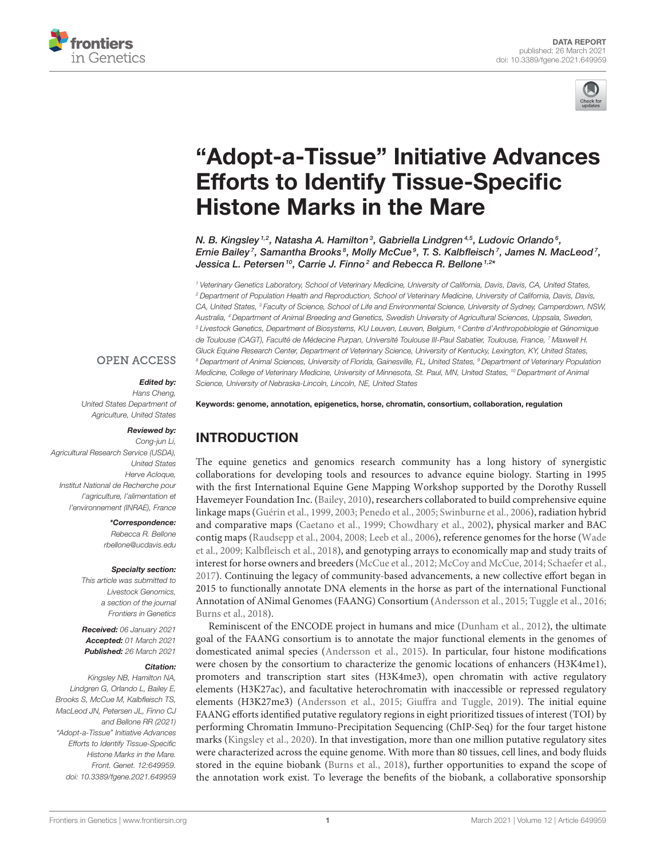



# ["Adopt-a-Tissue" Initiative Advances](https://www.frontiersin.org/articles/10.3389/fgene.2021.649959/full) Efforts to Identify Tissue-Specific Histone Marks in the Mare

N. B. Kingsley  $^{1,2}$ , Natasha A. Hamilton $^3$ , Gabriella Lindgren $^{4,5}$ , Ludovic Orlando $^6$ , Ernie Bailey<sup>7</sup>, Samantha Brooks $^s$ , Molly McCue $^g$ , T. S. Kalbfleisch<sup>7</sup>, James N. MacLeod<sup>7</sup>, Jessica L. Petersen  $^{10}$ , Carrie J. Finno  $^2$  and Rebecca R. Bellone  $^{1,2*}$ 

<sup>1</sup> Veterinary Genetics Laboratory, School of Veterinary Medicine, University of California, Davis, Davis, CA, United States, <sup>2</sup> Department of Population Health and Reproduction, School of Veterinary Medicine, University of California, Davis, Davis, CA, United States, <sup>3</sup> Faculty of Science, School of Life and Environmental Science, University of Sydney, Camperdown, NSW, Australia, <sup>4</sup> Department of Animal Breeding and Genetics, Swedish University of Agricultural Sciences, Uppsala, Sweden, <sup>5</sup> Livestock Genetics, Department of Biosystems, KU Leuven, Leuven, Belgium, <sup>6</sup> Centre d'Anthropobiologie et Génomique de Toulouse (CAGT), Faculté de Médecine Purpan, Université Toulouse III-Paul Sabatier, Toulouse, France, 7 Maxwell H. Gluck Equine Research Center, Department of Veterinary Science, University of Kentucky, Lexington, KY, United States, 8 Department of Animal Sciences, University of Florida, Gainesville, FL, United States, <sup>9</sup> Department of Veterinary Population Medicine, College of Veterinary Medicine, University of Minnesota, St. Paul, MN, United States, <sup>10</sup> Department of Animal Science, University of Nebraska-Lincoln, Lincoln, NE, United States

#### **OPEN ACCESS**

#### Edited by:

Hans Cheng, United States Department of Agriculture, United States

#### Reviewed by:

Cong-jun Li, Agricultural Research Service (USDA), United States Herve Acloque, Institut National de Recherche pour l'agriculture, l'alimentation et l'environnement (INRAE), France

> \*Correspondence: Rebecca R. Bellone

[rbellone@ucdavis.edu](mailto:rbellone@ucdavis.edu)

#### Specialty section:

This article was submitted to Livestock Genomics, a section of the journal Frontiers in Genetics

Received: 06 January 2021 Accepted: 01 March 2021 Published: 26 March 2021

#### Citation:

Kingsley NB, Hamilton NA, Lindgren G, Orlando L, Bailey E, Brooks S, McCue M, Kalbfleisch TS, MacLeod JN, Petersen JL, Finno CJ and Bellone RR (2021) "Adopt-a-Tissue" Initiative Advances Efforts to Identify Tissue-Specific Histone Marks in the Mare. Front. Genet. 12:649959. doi: [10.3389/fgene.2021.649959](https://doi.org/10.3389/fgene.2021.649959) Keywords: genome, annotation, epigenetics, horse, chromatin, consortium, collaboration, regulation

# INTRODUCTION

The equine genetics and genomics research community has a long history of synergistic collaborations for developing tools and resources to advance equine biology. Starting in 1995 with the first International Equine Gene Mapping Workshop supported by the Dorothy Russell Havemeyer Foundation Inc. [\(Bailey, 2010\)](#page-6-0), researchers collaborated to build comprehensive equine linkage maps [\(Guérin et al., 1999,](#page-6-1) [2003;](#page-7-0) [Penedo et al., 2005;](#page-7-1) [Swinburne et al., 2006\)](#page-7-2), radiation hybrid and comparative maps [\(Caetano et al., 1999;](#page-6-2) [Chowdhary et al., 2002\)](#page-6-3), physical marker and BAC contig maps [\(Raudsepp et al., 2004,](#page-7-3) [2008;](#page-7-4) [Leeb et al., 2006\)](#page-7-5), reference genomes for the horse (Wade et al., [2009;](#page-8-0) [Kalbfleisch et al., 2018\)](#page-7-6), and genotyping arrays to economically map and study traits of interest for horse owners and breeders [\(McCue et al., 2012;](#page-7-7) [McCoy and McCue, 2014;](#page-7-8) [Schaefer et al.,](#page-7-9) [2017\)](#page-7-9). Continuing the legacy of community-based advancements, a new collective effort began in 2015 to functionally annotate DNA elements in the horse as part of the international Functional Annotation of ANimal Genomes (FAANG) Consortium [\(Andersson et al., 2015;](#page-6-4) [Tuggle et al., 2016;](#page-7-10) [Burns et al., 2018\)](#page-6-5).

Reminiscent of the ENCODE project in humans and mice [\(Dunham et al., 2012\)](#page-6-6), the ultimate goal of the FAANG consortium is to annotate the major functional elements in the genomes of domesticated animal species [\(Andersson et al., 2015\)](#page-6-4). In particular, four histone modifications were chosen by the consortium to characterize the genomic locations of enhancers (H3K4me1), promoters and transcription start sites (H3K4me3), open chromatin with active regulatory elements (H3K27ac), and facultative heterochromatin with inaccessible or repressed regulatory elements (H3K27me3) [\(Andersson et al., 2015;](#page-6-4) [Giuffra and Tuggle, 2019\)](#page-6-7). The initial equine FAANG efforts identified putative regulatory regions in eight prioritized tissues of interest (TOI) by performing Chromatin Immuno-Precipitation Sequencing (ChIP-Seq) for the four target histone marks [\(Kingsley et al., 2020\)](#page-7-11). In that investigation, more than one million putative regulatory sites were characterized across the equine genome. With more than 80 tissues, cell lines, and body fluids stored in the equine biobank [\(Burns et al., 2018\)](#page-6-5), further opportunities to expand the scope of the annotation work exist. To leverage the benefits of the biobank, a collaborative sponsorship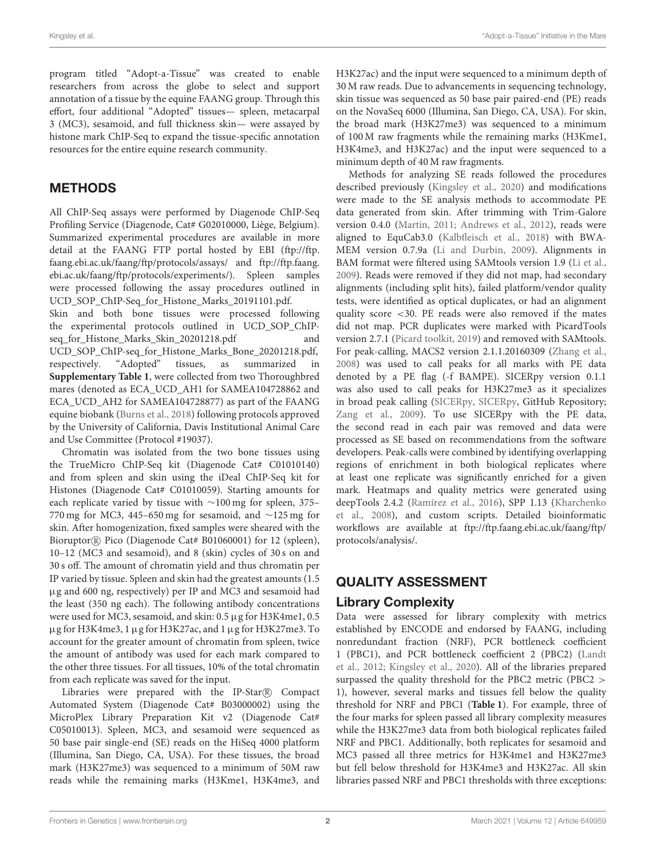program titled "Adopt-a-Tissue" was created to enable researchers from across the globe to select and support annotation of a tissue by the equine FAANG group. Through this effort, four additional "Adopted" tissues— spleen, metacarpal 3 (MC3), sesamoid, and full thickness skin— were assayed by histone mark ChIP-Seq to expand the tissue-specific annotation resources for the entire equine research community.

# METHODS

All ChIP-Seq assays were performed by Diagenode ChIP-Seq Profiling Service (Diagenode, Cat# G02010000, Liège, Belgium). Summarized experimental procedures are available in more detail at the FAANG FTP portal hosted by EBI [\(ftp://ftp.](ftp://ftp.faang.ebi.ac.uk/faang/ftp/protocols/assays/) [faang.ebi.ac.uk/faang/ftp/protocols/assays/](ftp://ftp.faang.ebi.ac.uk/faang/ftp/protocols/assays/) and [ftp://ftp.faang.](ftp://ftp.faang.ebi.ac.uk/faang/ftp/protocols/experiments/) [ebi.ac.uk/faang/ftp/protocols/experiments/\)](ftp://ftp.faang.ebi.ac.uk/faang/ftp/protocols/experiments/). Spleen samples were processed following the assay procedures outlined in UCD\_SOP\_ChIP-Seq\_for\_Histone\_Marks\_20191101.pdf. Skin and both bone tissues were processed following the experimental protocols outlined in UCD\_SOP\_ChIPseq\_for\_Histone\_Marks\_Skin\_20201218.pdf and UCD\_SOP\_ChIP-seq\_for\_Histone\_Marks\_Bone\_20201218.pdf, respectively. "Adopted" tissues, as summarized in **[Supplementary Table 1](#page-6-8)**, were collected from two Thoroughbred mares (denoted as ECA\_UCD\_AH1 for SAMEA104728862 and ECA\_UCD\_AH2 for SAMEA104728877) as part of the FAANG equine biobank [\(Burns et al., 2018\)](#page-6-5) following protocols approved

by the University of California, Davis Institutional Animal Care and Use Committee (Protocol #19037). Chromatin was isolated from the two bone tissues using the TrueMicro ChIP-Seq kit (Diagenode Cat# C01010140) and from spleen and skin using the iDeal ChIP-Seq kit for Histones (Diagenode Cat# C01010059). Starting amounts for each replicate varied by tissue with ∼100 mg for spleen, 375– 770 mg for MC3, 445–650 mg for sesamoid, and ∼125 mg for skin. After homogenization, fixed samples were sheared with the Bioruptor<sup>®</sup> Pico (Diagenode Cat# B01060001) for 12 (spleen), 10–12 (MC3 and sesamoid), and 8 (skin) cycles of 30 s on and 30 s off. The amount of chromatin yield and thus chromatin per IP varied by tissue. Spleen and skin had the greatest amounts (1.5 µg and 600 ng, respectively) per IP and MC3 and sesamoid had the least (350 ng each). The following antibody concentrations were used for MC3, sesamoid, and skin: 0.5 µg for H3K4me1, 0.5 µg for H3K4me3, 1 µg for H3K27ac, and 1 µg for H3K27me3. To account for the greater amount of chromatin from spleen, twice the amount of antibody was used for each mark compared to the other three tissues. For all tissues, 10% of the total chromatin from each replicate was saved for the input.

Libraries were prepared with the IP-Star R Compact Automated System (Diagenode Cat# B03000002) using the MicroPlex Library Preparation Kit v2 (Diagenode Cat# C05010013). Spleen, MC3, and sesamoid were sequenced as 50 base pair single-end (SE) reads on the HiSeq 4000 platform (Illumina, San Diego, CA, USA). For these tissues, the broad mark (H3K27me3) was sequenced to a minimum of 50M raw reads while the remaining marks (H3Kme1, H3K4me3, and H3K27ac) and the input were sequenced to a minimum depth of 30 M raw reads. Due to advancements in sequencing technology, skin tissue was sequenced as 50 base pair paired-end (PE) reads on the NovaSeq 6000 (Illumina, San Diego, CA, USA). For skin, the broad mark (H3K27me3) was sequenced to a minimum of 100 M raw fragments while the remaining marks (H3Kme1, H3K4me3, and H3K27ac) and the input were sequenced to a minimum depth of 40 M raw fragments.

Methods for analyzing SE reads followed the procedures described previously [\(Kingsley et al., 2020\)](#page-7-11) and modifications were made to the SE analysis methods to accommodate PE data generated from skin. After trimming with Trim-Galore version 0.4.0 [\(Martin, 2011;](#page-7-12) [Andrews et al., 2012\)](#page-6-9), reads were aligned to EquCab3.0 [\(Kalbfleisch et al., 2018\)](#page-7-6) with BWA-MEM version 0.7.9a [\(Li and Durbin, 2009\)](#page-7-13). Alignments in BAM format were filtered using SAMtools version 1.9 [\(Li et al.,](#page-7-14) [2009\)](#page-7-14). Reads were removed if they did not map, had secondary alignments (including split hits), failed platform/vendor quality tests, were identified as optical duplicates, or had an alignment quality score <30. PE reads were also removed if the mates did not map. PCR duplicates were marked with PicardTools version 2.7.1 [\(Picard toolkit, 2019\)](#page-7-15) and removed with SAMtools. For peak-calling, MACS2 version 2.1.1.20160309 [\(Zhang et al.,](#page-8-1) [2008\)](#page-8-1) was used to call peaks for all marks with PE data denoted by a PE flag (-f BAMPE). SICERpy version 0.1.1 was also used to call peaks for H3K27me3 as it specializes in broad peak calling [\(SICERpy, SICERpy,](#page-7-16) GitHub Repository; [Zang et al., 2009\)](#page-8-2). To use SICERpy with the PE data, the second read in each pair was removed and data were processed as SE based on recommendations from the software developers. Peak-calls were combined by identifying overlapping regions of enrichment in both biological replicates where at least one replicate was significantly enriched for a given mark. Heatmaps and quality metrics were generated using deepTools 2.4.2 [\(Ramírez et al., 2016\)](#page-7-17), SPP 1.13 (Kharchenko et al., [2008\)](#page-7-18), and custom scripts. Detailed bioinformatic workflows are available at [ftp://ftp.faang.ebi.ac.uk/faang/ftp/](ftp://ftp.faang.ebi.ac.uk/faang/ftp/protocols/analysis/) [protocols/analysis/.](ftp://ftp.faang.ebi.ac.uk/faang/ftp/protocols/analysis/)

# QUALITY ASSESSMENT

# Library Complexity

Data were assessed for library complexity with metrics established by ENCODE and endorsed by FAANG, including nonredundant fraction (NRF), PCR bottleneck coefficient 1 (PBC1), and PCR bottleneck coefficient 2 (PBC2) (Landt et al., [2012;](#page-7-19) [Kingsley et al., 2020\)](#page-7-11). All of the libraries prepared surpassed the quality threshold for the PBC2 metric (PBC2 > 1), however, several marks and tissues fell below the quality threshold for NRF and PBC1 (**[Table 1](#page-2-0)**). For example, three of the four marks for spleen passed all library complexity measures while the H3K27me3 data from both biological replicates failed NRF and PBC1. Additionally, both replicates for sesamoid and MC3 passed all three metrics for H3K4me1 and H3K27me3 but fell below threshold for H3K4me3 and H3K27ac. All skin libraries passed NRF and PBC1 thresholds with three exceptions: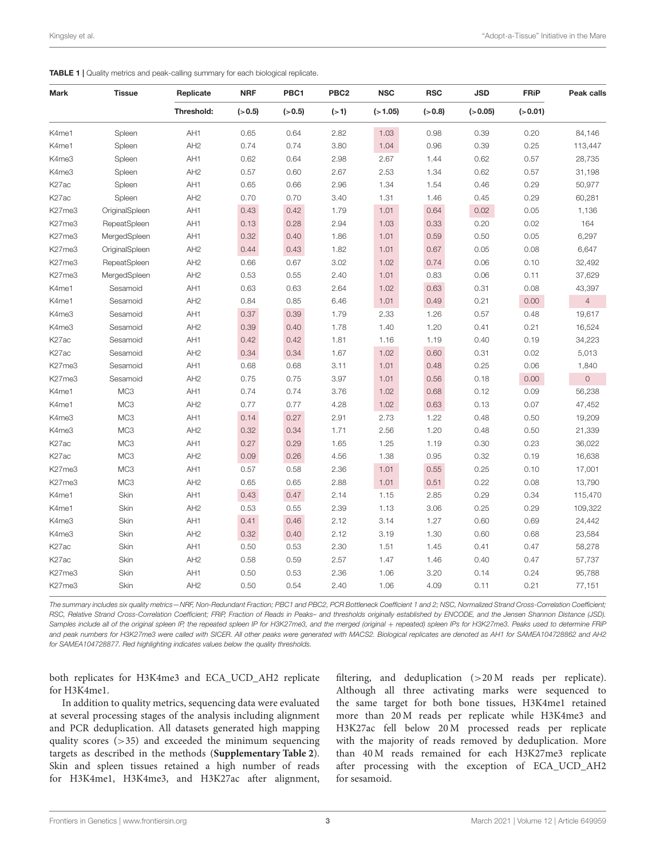<span id="page-2-0"></span>

|  |  | <b>TABLE 1</b>   Quality metrics and peak-calling summary for each biological replicate. |  |  |
|--|--|------------------------------------------------------------------------------------------|--|--|
|--|--|------------------------------------------------------------------------------------------|--|--|

| <b>Mark</b>        | <b>Tissue</b>   | Replicate       | <b>NRF</b> | PBC1     | PBC <sub>2</sub> | <b>NSC</b> | <b>RSC</b> | <b>JSD</b> | <b>FRiP</b> | Peak calls          |
|--------------------|-----------------|-----------------|------------|----------|------------------|------------|------------|------------|-------------|---------------------|
|                    |                 | Threshold:      | $(-0.5)$   | $(-0.5)$ | (>1)             | ( > 1.05)  | $(-0.8)$   | $(-0.05)$  | (>0.01)     |                     |
| K4me1              | Spleen          | AH1             | 0.65       | 0.64     | 2.82             | 1.03       | 0.98       | 0.39       | 0.20        | 84,146              |
| K4me1              | Spleen          | AH <sub>2</sub> | 0.74       | 0.74     | 3.80             | 1.04       | 0.96       | 0.39       | 0.25        | 113,447             |
| K4me3              | Spleen          | AH1             | 0.62       | 0.64     | 2.98             | 2.67       | 1.44       | 0.62       | 0.57        | 28,735              |
| K4me3              | Spleen          | AH <sub>2</sub> | 0.57       | 0.60     | 2.67             | 2.53       | 1.34       | 0.62       | 0.57        | 31,198              |
| K <sub>27</sub> ac | Spleen          | AH1             | 0.65       | 0.66     | 2.96             | 1.34       | 1.54       | 0.46       | 0.29        | 50,977              |
| K <sub>27</sub> ac | Spleen          | AH <sub>2</sub> | 0.70       | 0.70     | 3.40             | 1.31       | 1.46       | 0.45       | 0.29        | 60,281              |
| K27me3             | OriginalSpleen  | AH1             | 0.43       | 0.42     | 1.79             | 1.01       | 0.64       | 0.02       | 0.05        | 1,136               |
| K27me3             | RepeatSpleen    | AH1             | 0.13       | 0.28     | 2.94             | 1.03       | 0.33       | 0.20       | 0.02        | 164                 |
| K27me3             | MergedSpleen    | AH1             | 0.32       | 0.40     | 1.86             | 1.01       | 0.59       | 0.50       | 0.05        | 6,297               |
| K27me3             | OriginalSpleen  | AH <sub>2</sub> | 0.44       | 0.43     | 1.82             | 1.01       | 0.67       | 0.05       | 0.08        | 6,647               |
| K27me3             | RepeatSpleen    | AH <sub>2</sub> | 0.66       | 0.67     | 3.02             | 1.02       | 0.74       | 0.06       | 0.10        | 32,492              |
| K27me3             | MergedSpleen    | AH <sub>2</sub> | 0.53       | 0.55     | 2.40             | 1.01       | 0.83       | 0.06       | 0.11        | 37,629              |
| K4me1              | Sesamoid        | AH1             | 0.63       | 0.63     | 2.64             | 1.02       | 0.63       | 0.31       | 0.08        | 43,397              |
| K4me1              | Sesamoid        | AH <sub>2</sub> | 0.84       | 0.85     | 6.46             | 1.01       | 0.49       | 0.21       | 0.00        | $\overline{4}$      |
| K4me3              | Sesamoid        | AH1             | 0.37       | 0.39     | 1.79             | 2.33       | 1.26       | 0.57       | 0.48        | 19,617              |
| K4me3              | Sesamoid        | AH <sub>2</sub> | 0.39       | 0.40     | 1.78             | 1.40       | 1.20       | 0.41       | 0.21        | 16,524              |
| K <sub>27</sub> ac | Sesamoid        | AH1             | 0.42       | 0.42     | 1.81             | 1.16       | 1.19       | 0.40       | 0.19        | 34,223              |
| K27ac              | Sesamoid        | AH <sub>2</sub> | 0.34       | 0.34     | 1.67             | 1.02       | 0.60       | 0.31       | 0.02        | 5,013               |
| K27me3             | Sesamoid        | AH1             | 0.68       | 0.68     | 3.11             | 1.01       | 0.48       | 0.25       | 0.06        | 1,840               |
| K27me3             | Sesamoid        | AH <sub>2</sub> | 0.75       | 0.75     | 3.97             | 1.01       | 0.56       | 0.18       | 0.00        | $\mathsf{O}\xspace$ |
| K4me1              | MC <sub>3</sub> | AH1             | 0.74       | 0.74     | 3.76             | 1.02       | 0.68       | 0.12       | 0.09        | 56,238              |
| K4me1              | MC <sub>3</sub> | AH2             | 0.77       | 0.77     | 4.28             | 1.02       | 0.63       | 0.13       | 0.07        | 47,452              |
| K4me3              | MC <sub>3</sub> | AH1             | 0.14       | 0.27     | 2.91             | 2.73       | 1.22       | 0.48       | 0.50        | 19,209              |
| K4me3              | MC <sub>3</sub> | AH <sub>2</sub> | 0.32       | 0.34     | 1.71             | 2.56       | 1.20       | 0.48       | 0.50        | 21,339              |
| K27ac              | MC <sub>3</sub> | AH1             | 0.27       | 0.29     | 1.65             | 1.25       | 1.19       | 0.30       | 0.23        | 36,022              |
| K27ac              | MC <sub>3</sub> | AH <sub>2</sub> | 0.09       | 0.26     | 4.56             | 1.38       | 0.95       | 0.32       | 0.19        | 16,638              |
| K27me3             | MC <sub>3</sub> | AH1             | 0.57       | 0.58     | 2.36             | 1.01       | 0.55       | 0.25       | 0.10        | 17,001              |
| K27me3             | MC <sub>3</sub> | AH <sub>2</sub> | 0.65       | 0.65     | 2.88             | 1.01       | 0.51       | 0.22       | 0.08        | 13,790              |
| K4me1              | Skin            | AH1             | 0.43       | 0.47     | 2.14             | 1.15       | 2.85       | 0.29       | 0.34        | 115,470             |
| K4me1              | Skin            | AH <sub>2</sub> | 0.53       | 0.55     | 2.39             | 1.13       | 3.06       | 0.25       | 0.29        | 109,322             |
| K4me3              | Skin            | AH1             | 0.41       | 0.46     | 2.12             | 3.14       | 1.27       | 0.60       | 0.69        | 24,442              |
| K4me3              | Skin            | AH <sub>2</sub> | 0.32       | 0.40     | 2.12             | 3.19       | 1.30       | 0.60       | 0.68        | 23,584              |
| K <sub>27</sub> ac | Skin            | AH1             | 0.50       | 0.53     | 2.30             | 1.51       | 1.45       | 0.41       | 0.47        | 58,278              |
| K <sub>27</sub> ac | Skin            | AH <sub>2</sub> | 0.58       | 0.59     | 2.57             | 1.47       | 1.46       | 0.40       | 0.47        | 57,737              |
| K27me3             | Skin            | AH1             | 0.50       | 0.53     | 2.36             | 1.06       | 3.20       | 0.14       | 0.24        | 95,788              |
| K27me3             | Skin            | AH <sub>2</sub> | 0.50       | 0.54     | 2.40             | 1.06       | 4.09       | 0.11       | 0.21        | 77,151              |

The summary includes six quality metrics—NRF, Non-Redundant Fraction; PBC1 and PBC2, PCR Bottleneck Coefficient 1 and 2; NSC, Normalized Strand Cross-Correlation Coefficient; RSC, Relative Strand Cross-Correlation Coefficient; FRiP, Fraction of Reads in Peaks– and thresholds originally established by ENCODE, and the Jensen Shannon Distance (JSD). Samples include all of the original spleen IP, the repeated spleen IP for H3K27me3, and the merged (original + repeated) spleen IPs for H3K27me3. Peaks used to determine FRiP and peak numbers for H3K27me3 were called with SICER. All other peaks were generated with MACS2. Biological replicates are denoted as AH1 for SAMEA104728862 and AH2 for SAMEA104728877. Red highlighting indicates values below the quality thresholds.

both replicates for H3K4me3 and ECA\_UCD\_AH2 replicate for H3K4me1.

In addition to quality metrics, sequencing data were evaluated at several processing stages of the analysis including alignment and PCR deduplication. All datasets generated high mapping quality scores (>35) and exceeded the minimum sequencing targets as described in the methods (**[Supplementary Table 2](#page-6-8)**). Skin and spleen tissues retained a high number of reads for H3K4me1, H3K4me3, and H3K27ac after alignment, filtering, and deduplication (>20 M reads per replicate). Although all three activating marks were sequenced to the same target for both bone tissues, H3K4me1 retained more than 20 M reads per replicate while H3K4me3 and H3K27ac fell below 20 M processed reads per replicate with the majority of reads removed by deduplication. More than 40 M reads remained for each H3K27me3 replicate after processing with the exception of ECA\_UCD\_AH2 for sesamoid.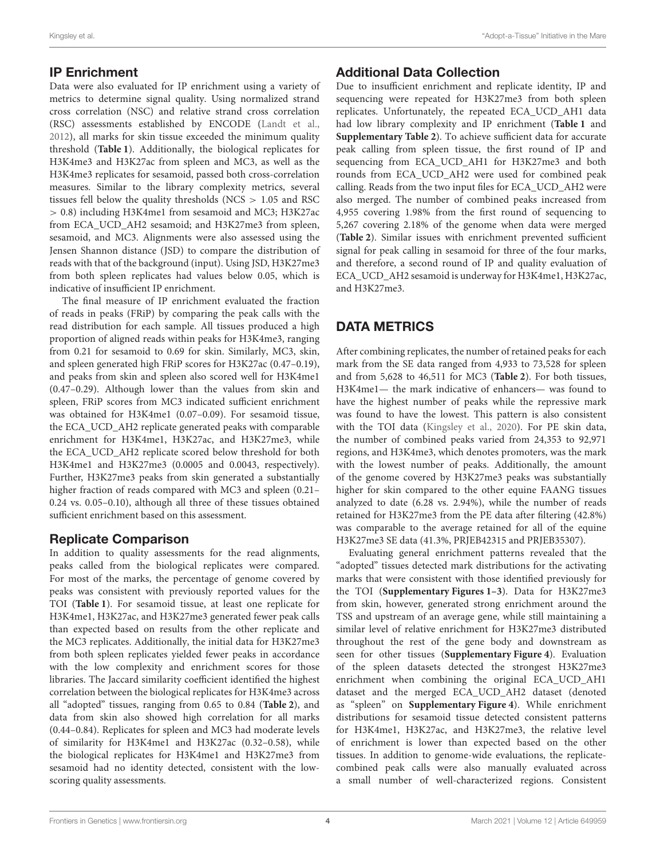## IP Enrichment

Data were also evaluated for IP enrichment using a variety of metrics to determine signal quality. Using normalized strand cross correlation (NSC) and relative strand cross correlation (RSC) assessments established by ENCODE [\(Landt et al.,](#page-7-19) [2012\)](#page-7-19), all marks for skin tissue exceeded the minimum quality threshold (**[Table 1](#page-2-0)**). Additionally, the biological replicates for H3K4me3 and H3K27ac from spleen and MC3, as well as the H3K4me3 replicates for sesamoid, passed both cross-correlation measures. Similar to the library complexity metrics, several tissues fell below the quality thresholds ( $NCS > 1.05$  and RSC > 0.8) including H3K4me1 from sesamoid and MC3; H3K27ac from ECA\_UCD\_AH2 sesamoid; and H3K27me3 from spleen, sesamoid, and MC3. Alignments were also assessed using the Jensen Shannon distance (JSD) to compare the distribution of reads with that of the background (input). Using JSD, H3K27me3 from both spleen replicates had values below 0.05, which is indicative of insufficient IP enrichment.

The final measure of IP enrichment evaluated the fraction of reads in peaks (FRiP) by comparing the peak calls with the read distribution for each sample. All tissues produced a high proportion of aligned reads within peaks for H3K4me3, ranging from 0.21 for sesamoid to 0.69 for skin. Similarly, MC3, skin, and spleen generated high FRiP scores for H3K27ac (0.47–0.19), and peaks from skin and spleen also scored well for H3K4me1 (0.47–0.29). Although lower than the values from skin and spleen, FRiP scores from MC3 indicated sufficient enrichment was obtained for H3K4me1 (0.07–0.09). For sesamoid tissue, the ECA\_UCD\_AH2 replicate generated peaks with comparable enrichment for H3K4me1, H3K27ac, and H3K27me3, while the ECA\_UCD\_AH2 replicate scored below threshold for both H3K4me1 and H3K27me3 (0.0005 and 0.0043, respectively). Further, H3K27me3 peaks from skin generated a substantially higher fraction of reads compared with MC3 and spleen (0.21– 0.24 vs. 0.05–0.10), although all three of these tissues obtained sufficient enrichment based on this assessment.

### Replicate Comparison

In addition to quality assessments for the read alignments, peaks called from the biological replicates were compared. For most of the marks, the percentage of genome covered by peaks was consistent with previously reported values for the TOI (**[Table 1](#page-2-0)**). For sesamoid tissue, at least one replicate for H3K4me1, H3K27ac, and H3K27me3 generated fewer peak calls than expected based on results from the other replicate and the MC3 replicates. Additionally, the initial data for H3K27me3 from both spleen replicates yielded fewer peaks in accordance with the low complexity and enrichment scores for those libraries. The Jaccard similarity coefficient identified the highest correlation between the biological replicates for H3K4me3 across all "adopted" tissues, ranging from 0.65 to 0.84 (**[Table 2](#page-4-0)**), and data from skin also showed high correlation for all marks (0.44–0.84). Replicates for spleen and MC3 had moderate levels of similarity for H3K4me1 and H3K27ac (0.32–0.58), while the biological replicates for H3K4me1 and H3K27me3 from sesamoid had no identity detected, consistent with the lowscoring quality assessments.

# Additional Data Collection

Due to insufficient enrichment and replicate identity, IP and sequencing were repeated for H3K27me3 from both spleen replicates. Unfortunately, the repeated ECA\_UCD\_AH1 data had low library complexity and IP enrichment (**[Table 1](#page-2-0)** and **[Supplementary Table 2](#page-6-8)**). To achieve sufficient data for accurate peak calling from spleen tissue, the first round of IP and sequencing from ECA\_UCD\_AH1 for H3K27me3 and both rounds from ECA\_UCD\_AH2 were used for combined peak calling. Reads from the two input files for ECA\_UCD\_AH2 were also merged. The number of combined peaks increased from 4,955 covering 1.98% from the first round of sequencing to 5,267 covering 2.18% of the genome when data were merged (**[Table 2](#page-4-0)**). Similar issues with enrichment prevented sufficient signal for peak calling in sesamoid for three of the four marks, and therefore, a second round of IP and quality evaluation of ECA\_UCD\_AH2 sesamoid is underway for H3K4me1, H3K27ac, and H3K27me3.

# DATA METRICS

After combining replicates, the number of retained peaks for each mark from the SE data ranged from 4,933 to 73,528 for spleen and from 5,628 to 46,511 for MC3 (**[Table 2](#page-4-0)**). For both tissues, H3K4me1— the mark indicative of enhancers— was found to have the highest number of peaks while the repressive mark was found to have the lowest. This pattern is also consistent with the TOI data [\(Kingsley et al., 2020\)](#page-7-11). For PE skin data, the number of combined peaks varied from 24,353 to 92,971 regions, and H3K4me3, which denotes promoters, was the mark with the lowest number of peaks. Additionally, the amount of the genome covered by H3K27me3 peaks was substantially higher for skin compared to the other equine FAANG tissues analyzed to date (6.28 vs. 2.94%), while the number of reads retained for H3K27me3 from the PE data after filtering (42.8%) was comparable to the average retained for all of the equine H3K27me3 SE data (41.3%, PRJEB42315 and PRJEB35307).

Evaluating general enrichment patterns revealed that the "adopted" tissues detected mark distributions for the activating marks that were consistent with those identified previously for the TOI (**[Supplementary Figures 1–3](#page-6-8)**). Data for H3K27me3 from skin, however, generated strong enrichment around the TSS and upstream of an average gene, while still maintaining a similar level of relative enrichment for H3K27me3 distributed throughout the rest of the gene body and downstream as seen for other tissues (**[Supplementary Figure 4](#page-6-8)**). Evaluation of the spleen datasets detected the strongest H3K27me3 enrichment when combining the original ECA\_UCD\_AH1 dataset and the merged ECA\_UCD\_AH2 dataset (denoted as "spleen" on **[Supplementary Figure 4](#page-6-8)**). While enrichment distributions for sesamoid tissue detected consistent patterns for H3K4me1, H3K27ac, and H3K27me3, the relative level of enrichment is lower than expected based on the other tissues. In addition to genome-wide evaluations, the replicatecombined peak calls were also manually evaluated across a small number of well-characterized regions. Consistent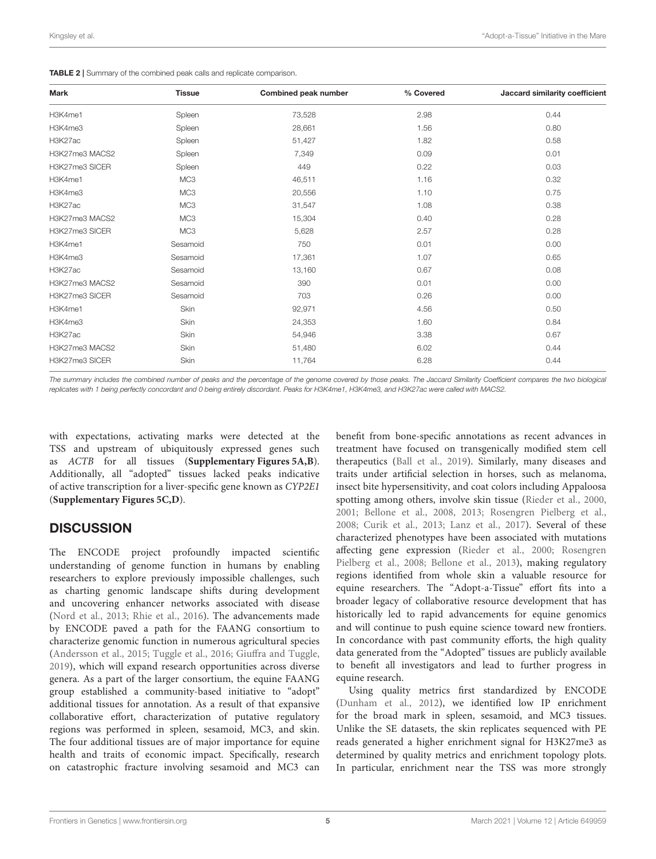| Kingsley et al. |  | "Adopt-a-Tissue" Initiative in the Mare |
|-----------------|--|-----------------------------------------|
|-----------------|--|-----------------------------------------|

<span id="page-4-0"></span>

| <b>TABLE 2</b> Summary of the combined peak calls and replicate comparison. |  |
|-----------------------------------------------------------------------------|--|
|-----------------------------------------------------------------------------|--|

| Mark           | <b>Tissue</b>   | <b>Combined peak number</b> | % Covered | Jaccard similarity coefficient |
|----------------|-----------------|-----------------------------|-----------|--------------------------------|
| H3K4me1        | Spleen          | 73,528                      | 2.98      | 0.44                           |
| H3K4me3        | Spleen          | 28,661                      | 1.56      | 0.80                           |
| H3K27ac        | Spleen          | 51,427                      | 1.82      | 0.58                           |
| H3K27me3 MACS2 | Spleen          | 7,349                       | 0.09      | 0.01                           |
| H3K27me3 SICER | Spleen          | 449                         | 0.22      | 0.03                           |
| H3K4me1        | MC <sub>3</sub> | 46,511                      | 1.16      | 0.32                           |
| H3K4me3        | MC <sub>3</sub> | 20,556                      | 1.10      | 0.75                           |
| H3K27ac        | MC <sub>3</sub> | 31,547                      | 1.08      | 0.38                           |
| H3K27me3 MACS2 | MC <sub>3</sub> | 15,304                      | 0.40      | 0.28                           |
| H3K27me3 SICER | MC <sub>3</sub> | 5,628                       | 2.57      | 0.28                           |
| H3K4me1        | Sesamoid        | 750                         | 0.01      | 0.00                           |
| H3K4me3        | Sesamoid        | 17,361                      | 1.07      | 0.65                           |
| H3K27ac        | Sesamoid        | 13,160                      | 0.67      | 0.08                           |
| H3K27me3 MACS2 | Sesamoid        | 390                         | 0.01      | 0.00                           |
| H3K27me3 SICER | Sesamoid        | 703                         | 0.26      | 0.00                           |
| H3K4me1        | Skin            | 92,971                      | 4.56      | 0.50                           |
| H3K4me3        | Skin            | 24,353                      | 1.60      | 0.84                           |
| H3K27ac        | Skin            | 54,946                      | 3.38      | 0.67                           |
| H3K27me3 MACS2 | Skin            | 51,480                      | 6.02      | 0.44                           |
| H3K27me3 SICER | Skin            | 11,764                      | 6.28      | 0.44                           |
|                |                 |                             |           |                                |

The summary includes the combined number of peaks and the percentage of the genome covered by those peaks. The Jaccard Similarity Coefficient compares the two biological replicates with 1 being perfectly concordant and 0 being entirely discordant. Peaks for H3K4me1, H3K4me3, and H3K27ac were called with MACS2.

with expectations, activating marks were detected at the TSS and upstream of ubiquitously expressed genes such as ACTB for all tissues (**[Supplementary Figures 5A,B](#page-6-8)**). Additionally, all "adopted" tissues lacked peaks indicative of active transcription for a liver-specific gene known as CYP2E1 (**[Supplementary Figures 5C,D](#page-6-8)**).

# **DISCUSSION**

The ENCODE project profoundly impacted scientific understanding of genome function in humans by enabling researchers to explore previously impossible challenges, such as charting genomic landscape shifts during development and uncovering enhancer networks associated with disease [\(Nord et al., 2013;](#page-7-20) [Rhie et al., 2016\)](#page-7-21). The advancements made by ENCODE paved a path for the FAANG consortium to characterize genomic function in numerous agricultural species [\(Andersson et al., 2015;](#page-6-4) [Tuggle et al., 2016;](#page-7-10) [Giuffra and Tuggle,](#page-6-7) [2019\)](#page-6-7), which will expand research opportunities across diverse genera. As a part of the larger consortium, the equine FAANG group established a community-based initiative to "adopt" additional tissues for annotation. As a result of that expansive collaborative effort, characterization of putative regulatory regions was performed in spleen, sesamoid, MC3, and skin. The four additional tissues are of major importance for equine health and traits of economic impact. Specifically, research on catastrophic fracture involving sesamoid and MC3 can benefit from bone-specific annotations as recent advances in treatment have focused on transgenically modified stem cell therapeutics [\(Ball et al., 2019\)](#page-6-10). Similarly, many diseases and traits under artificial selection in horses, such as melanoma, insect bite hypersensitivity, and coat colors including Appaloosa spotting among others, involve skin tissue [\(Rieder et al., 2000,](#page-7-22) [2001;](#page-7-23) [Bellone et al., 2008,](#page-6-11) [2013;](#page-6-12) [Rosengren Pielberg et al.,](#page-7-24) [2008;](#page-7-24) [Curik et al., 2013;](#page-6-13) [Lanz et al., 2017\)](#page-7-25). Several of these characterized phenotypes have been associated with mutations affecting gene expression [\(Rieder et al., 2000;](#page-7-22) Rosengren Pielberg et al., [2008;](#page-7-24) [Bellone et al., 2013\)](#page-6-12), making regulatory regions identified from whole skin a valuable resource for equine researchers. The "Adopt-a-Tissue" effort fits into a broader legacy of collaborative resource development that has historically led to rapid advancements for equine genomics and will continue to push equine science toward new frontiers. In concordance with past community efforts, the high quality data generated from the "Adopted" tissues are publicly available to benefit all investigators and lead to further progress in equine research.

Using quality metrics first standardized by ENCODE [\(Dunham et al., 2012\)](#page-6-6), we identified low IP enrichment for the broad mark in spleen, sesamoid, and MC3 tissues. Unlike the SE datasets, the skin replicates sequenced with PE reads generated a higher enrichment signal for H3K27me3 as determined by quality metrics and enrichment topology plots. In particular, enrichment near the TSS was more strongly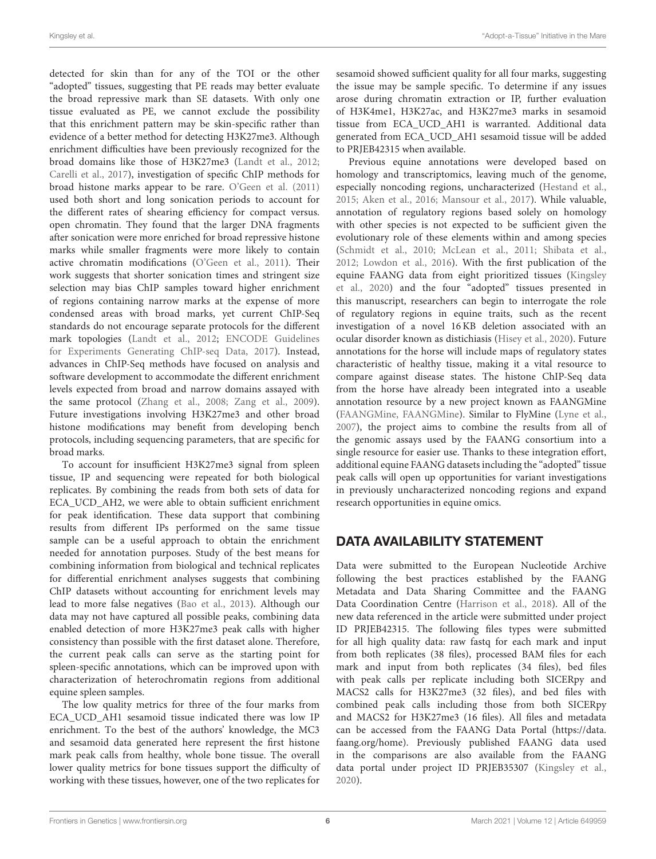detected for skin than for any of the TOI or the other "adopted" tissues, suggesting that PE reads may better evaluate the broad repressive mark than SE datasets. With only one tissue evaluated as PE, we cannot exclude the possibility that this enrichment pattern may be skin-specific rather than evidence of a better method for detecting H3K27me3. Although enrichment difficulties have been previously recognized for the broad domains like those of H3K27me3 [\(Landt et al., 2012;](#page-7-19) [Carelli et al., 2017\)](#page-6-14), investigation of specific ChIP methods for broad histone marks appear to be rare. [O'Geen et al. \(2011\)](#page-7-26) used both short and long sonication periods to account for the different rates of shearing efficiency for compact versus. open chromatin. They found that the larger DNA fragments after sonication were more enriched for broad repressive histone marks while smaller fragments were more likely to contain active chromatin modifications [\(O'Geen et al., 2011\)](#page-7-26). Their work suggests that shorter sonication times and stringent size selection may bias ChIP samples toward higher enrichment of regions containing narrow marks at the expense of more condensed areas with broad marks, yet current ChIP-Seq standards do not encourage separate protocols for the different mark topologies [\(Landt et al., 2012;](#page-7-19) ENCODE Guidelines for Experiments Generating ChIP-seq Data, [2017\)](#page-6-15). Instead, advances in ChIP-Seq methods have focused on analysis and software development to accommodate the different enrichment levels expected from broad and narrow domains assayed with the same protocol [\(Zhang et al., 2008;](#page-8-1) [Zang et al., 2009\)](#page-8-2). Future investigations involving H3K27me3 and other broad histone modifications may benefit from developing bench protocols, including sequencing parameters, that are specific for broad marks.

To account for insufficient H3K27me3 signal from spleen tissue, IP and sequencing were repeated for both biological replicates. By combining the reads from both sets of data for ECA\_UCD\_AH2, we were able to obtain sufficient enrichment for peak identification. These data support that combining results from different IPs performed on the same tissue sample can be a useful approach to obtain the enrichment needed for annotation purposes. Study of the best means for combining information from biological and technical replicates for differential enrichment analyses suggests that combining ChIP datasets without accounting for enrichment levels may lead to more false negatives [\(Bao et al., 2013\)](#page-6-16). Although our data may not have captured all possible peaks, combining data enabled detection of more H3K27me3 peak calls with higher consistency than possible with the first dataset alone. Therefore, the current peak calls can serve as the starting point for spleen-specific annotations, which can be improved upon with characterization of heterochromatin regions from additional equine spleen samples.

The low quality metrics for three of the four marks from ECA\_UCD\_AH1 sesamoid tissue indicated there was low IP enrichment. To the best of the authors' knowledge, the MC3 and sesamoid data generated here represent the first histone mark peak calls from healthy, whole bone tissue. The overall lower quality metrics for bone tissues support the difficulty of working with these tissues, however, one of the two replicates for sesamoid showed sufficient quality for all four marks, suggesting the issue may be sample specific. To determine if any issues arose during chromatin extraction or IP, further evaluation of H3K4me1, H3K27ac, and H3K27me3 marks in sesamoid tissue from ECA\_UCD\_AH1 is warranted. Additional data generated from ECA\_UCD\_AH1 sesamoid tissue will be added to PRJEB42315 when available.

Previous equine annotations were developed based on homology and transcriptomics, leaving much of the genome, especially noncoding regions, uncharacterized [\(Hestand et al.,](#page-7-27) [2015;](#page-7-27) [Aken et al., 2016;](#page-6-17) [Mansour et al., 2017\)](#page-7-28). While valuable, annotation of regulatory regions based solely on homology with other species is not expected to be sufficient given the evolutionary role of these elements within and among species [\(Schmidt et al., 2010;](#page-7-29) [McLean et al., 2011;](#page-7-30) [Shibata et al.,](#page-7-31) [2012;](#page-7-31) [Lowdon et al., 2016\)](#page-7-32). With the first publication of the equine FAANG data from eight prioritized tissues (Kingsley et al., [2020\)](#page-7-11) and the four "adopted" tissues presented in this manuscript, researchers can begin to interrogate the role of regulatory regions in equine traits, such as the recent investigation of a novel 16 KB deletion associated with an ocular disorder known as distichiasis [\(Hisey et al., 2020\)](#page-7-33). Future annotations for the horse will include maps of regulatory states characteristic of healthy tissue, making it a vital resource to compare against disease states. The histone ChIP-Seq data from the horse have already been integrated into a useable annotation resource by a new project known as FAANGMine [\(FAANGMine, FAANGMine\)](#page-6-18). Similar to FlyMine [\(Lyne et al.,](#page-7-34) [2007\)](#page-7-34), the project aims to combine the results from all of the genomic assays used by the FAANG consortium into a single resource for easier use. Thanks to these integration effort, additional equine FAANG datasets including the "adopted" tissue peak calls will open up opportunities for variant investigations in previously uncharacterized noncoding regions and expand research opportunities in equine omics.

# DATA AVAILABILITY STATEMENT

Data were submitted to the European Nucleotide Archive following the best practices established by the FAANG Metadata and Data Sharing Committee and the FAANG Data Coordination Centre [\(Harrison et al., 2018\)](#page-7-35). All of the new data referenced in the article were submitted under project ID PRJEB42315. The following files types were submitted for all high quality data: raw fastq for each mark and input from both replicates (38 files), processed BAM files for each mark and input from both replicates (34 files), bed files with peak calls per replicate including both SICERpy and MACS2 calls for H3K27me3 (32 files), and bed files with combined peak calls including those from both SICERpy and MACS2 for H3K27me3 (16 files). All files and metadata can be accessed from the FAANG Data Portal [\(https://data.](https://data.faang.org/home) [faang.org/home\)](https://data.faang.org/home). Previously published FAANG data used in the comparisons are also available from the FAANG data portal under project ID PRJEB35307 [\(Kingsley et al.,](#page-7-11) [2020\)](#page-7-11).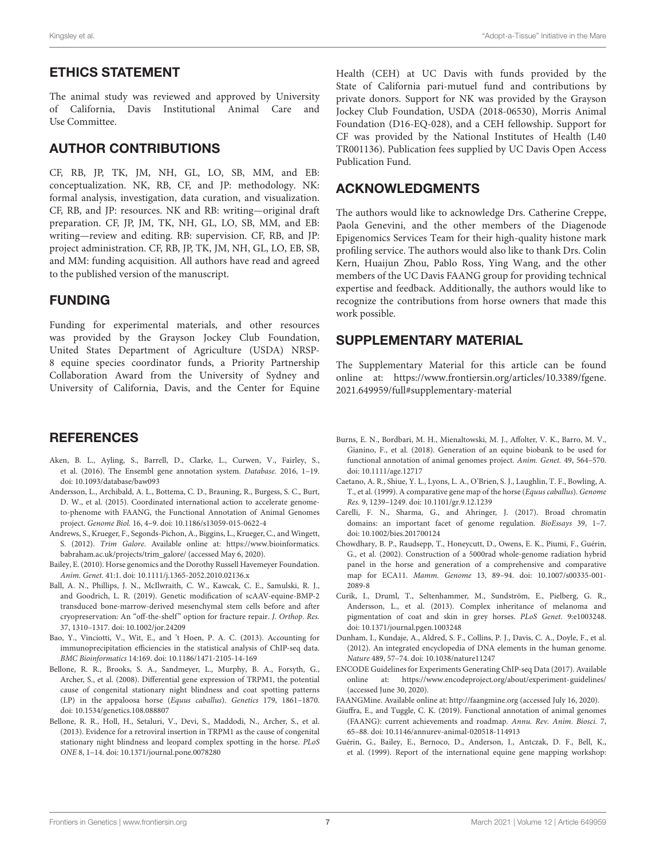## ETHICS STATEMENT

The animal study was reviewed and approved by University of California, Davis Institutional Animal Care and Use Committee.

## AUTHOR CONTRIBUTIONS

CF, RB, JP, TK, JM, NH, GL, LO, SB, MM, and EB: conceptualization. NK, RB, CF, and JP: methodology. NK: formal analysis, investigation, data curation, and visualization. CF, RB, and JP: resources. NK and RB: writing—original draft preparation. CF, JP, JM, TK, NH, GL, LO, SB, MM, and EB: writing—review and editing. RB: supervision. CF, RB, and JP: project administration. CF, RB, JP, TK, JM, NH, GL, LO, EB, SB, and MM: funding acquisition. All authors have read and agreed to the published version of the manuscript.

## FUNDING

Funding for experimental materials, and other resources was provided by the Grayson Jockey Club Foundation, United States Department of Agriculture (USDA) NRSP-8 equine species coordinator funds, a Priority Partnership Collaboration Award from the University of Sydney and University of California, Davis, and the Center for Equine

### REFERENCES

- <span id="page-6-17"></span>Aken, B. L., Ayling, S., Barrell, D., Clarke, L., Curwen, V., Fairley, S., et al. (2016). The Ensembl gene annotation system. Database. 2016, 1–19. doi: [10.1093/database/baw093](https://doi.org/10.1093/database/baw093)
- <span id="page-6-4"></span>Andersson, L., Archibald, A. L., Bottema, C. D., Brauning, R., Burgess, S. C., Burt, D. W., et al. (2015). Coordinated international action to accelerate genometo-phenome with FAANG, the Functional Annotation of Animal Genomes project. Genome Biol. 16, 4–9. doi: [10.1186/s13059-015-0622-4](https://doi.org/10.1186/s13059-015-0622-4)
- <span id="page-6-9"></span>Andrews, S., Krueger, F., Segonds-Pichon, A., Biggins, L., Krueger, C., and Wingett, S. (2012). Trim Galore. Available online at: [https://www.bioinformatics.](https://www.bioinformatics.babraham.ac.uk/projects/trim_galore/) [babraham.ac.uk/projects/trim\\_galore/](https://www.bioinformatics.babraham.ac.uk/projects/trim_galore/) (accessed May 6, 2020).
- <span id="page-6-0"></span>Bailey, E. (2010). Horse genomics and the Dorothy Russell Havemeyer Foundation. Anim. Genet. 41:1. doi: [10.1111/j.1365-2052.2010.02136.x](https://doi.org/10.1111/j.1365-2052.2010.02136.x)
- <span id="page-6-10"></span>Ball, A. N., Phillips, J. N., McIlwraith, C. W., Kawcak, C. E., Samulski, R. J., and Goodrich, L. R. (2019). Genetic modification of scAAV-equine-BMP-2 transduced bone-marrow-derived mesenchymal stem cells before and after cryopreservation: An "off-the-shelf" option for fracture repair. J. Orthop. Res. 37, 1310–1317. doi: [10.1002/jor.24209](https://doi.org/10.1002/jor.24209)
- <span id="page-6-16"></span>Bao, Y., Vinciotti, V., Wit, E., and 't Hoen, P. A. C. (2013). Accounting for immunoprecipitation efficiencies in the statistical analysis of ChIP-seq data. BMC Bioinformatics 14:169. doi: [10.1186/1471-2105-14-169](https://doi.org/10.1186/1471-2105-14-169)
- <span id="page-6-11"></span>Bellone, R. R., Brooks, S. A., Sandmeyer, L., Murphy, B. A., Forsyth, G., Archer, S., et al. (2008). Differential gene expression of TRPM1, the potential cause of congenital stationary night blindness and coat spotting patterns (LP) in the appaloosa horse (Equus caballus). Genetics 179, 1861–1870. doi: [10.1534/genetics.108.088807](https://doi.org/10.1534/genetics.108.088807)
- <span id="page-6-12"></span>Bellone, R. R., Holl, H., Setaluri, V., Devi, S., Maddodi, N., Archer, S., et al. (2013). Evidence for a retroviral insertion in TRPM1 as the cause of congenital stationary night blindness and leopard complex spotting in the horse. PLoS ONE 8, 1–14. doi: [10.1371/journal.pone.0078280](https://doi.org/10.1371/journal.pone.0078280)

Health (CEH) at UC Davis with funds provided by the State of California pari-mutuel fund and contributions by private donors. Support for NK was provided by the Grayson Jockey Club Foundation, USDA (2018-06530), Morris Animal Foundation (D16-EQ-028), and a CEH fellowship. Support for CF was provided by the National Institutes of Health (L40 TR001136). Publication fees supplied by UC Davis Open Access Publication Fund.

# ACKNOWLEDGMENTS

The authors would like to acknowledge Drs. Catherine Creppe, Paola Genevini, and the other members of the Diagenode Epigenomics Services Team for their high-quality histone mark profiling service. The authors would also like to thank Drs. Colin Kern, Huaijun Zhou, Pablo Ross, Ying Wang, and the other members of the UC Davis FAANG group for providing technical expertise and feedback. Additionally, the authors would like to recognize the contributions from horse owners that made this work possible.

### SUPPLEMENTARY MATERIAL

<span id="page-6-8"></span>The Supplementary Material for this article can be found [online at: https://www.frontiersin.org/articles/10.3389/fgene.](https://www.frontiersin.org/articles/10.3389/fgene.2021.649959/full#supplementary-material) 2021.649959/full#supplementary-material

- <span id="page-6-5"></span>Burns, E. N., Bordbari, M. H., Mienaltowski, M. J., Affolter, V. K., Barro, M. V., Gianino, F., et al. (2018). Generation of an equine biobank to be used for functional annotation of animal genomes project. Anim. Genet. 49, 564–570. doi: [10.1111/age.12717](https://doi.org/10.1111/age.12717)
- <span id="page-6-2"></span>Caetano, A. R., Shiue, Y. L., Lyons, L. A., O'Brien, S. J., Laughlin, T. F., Bowling, A. T., et al. (1999). A comparative gene map of the horse (Equus caballus). Genome Res. 9, 1239–1249. doi: [10.1101/gr.9.12.1239](https://doi.org/10.1101/gr.9.12.1239)
- <span id="page-6-14"></span>Carelli, F. N., Sharma, G., and Ahringer, J. (2017). Broad chromatin domains: an important facet of genome regulation. BioEssays 39, 1–7. doi: [10.1002/bies.201700124](https://doi.org/10.1002/bies.201700124)
- <span id="page-6-3"></span>Chowdhary, B. P., Raudsepp, T., Honeycutt, D., Owens, E. K., Piumi, F., Guérin, G., et al. (2002). Construction of a 5000rad whole-genome radiation hybrid panel in the horse and generation of a comprehensive and comparative map for ECA11. Mamm. Genome [13, 89–94. doi: 10.1007/s00335-001-](https://doi.org/10.1007/s00335-001-2089-8) 2089-8
- <span id="page-6-13"></span>Curik, I., Druml, T., Seltenhammer, M., Sundström, E., Pielberg, G. R., Andersson, L., et al. (2013). Complex inheritance of melanoma and pigmentation of coat and skin in grey horses. PLoS Genet. 9:e1003248. doi: [10.1371/journal.pgen.1003248](https://doi.org/10.1371/journal.pgen.1003248)
- <span id="page-6-6"></span>Dunham, I., Kundaje, A., Aldred, S. F., Collins, P. J., Davis, C. A., Doyle, F., et al. (2012). An integrated encyclopedia of DNA elements in the human genome. Nature 489, 57–74. doi: [10.1038/nature11247](https://doi.org/10.1038/nature11247)
- <span id="page-6-15"></span>ENCODE Guidelines for Experiments Generating ChIP-seq Data (2017). Available online at:<https://www.encodeproject.org/about/experiment-guidelines/> (accessed June 30, 2020).
- <span id="page-6-18"></span>FAANGMine. Available online at:<http://faangmine.org> (accessed July 16, 2020).
- <span id="page-6-7"></span>Giuffra, E., and Tuggle, C. K. (2019). Functional annotation of animal genomes (FAANG): current achievements and roadmap. Annu. Rev. Anim. Biosci. 7, 65–88. doi: [10.1146/annurev-animal-020518-114913](https://doi.org/10.1146/annurev-animal-020518-114913)
- <span id="page-6-1"></span>Guérin, G., Bailey, E., Bernoco, D., Anderson, I., Antczak, D. F., Bell, K., et al. (1999). Report of the international equine gene mapping workshop: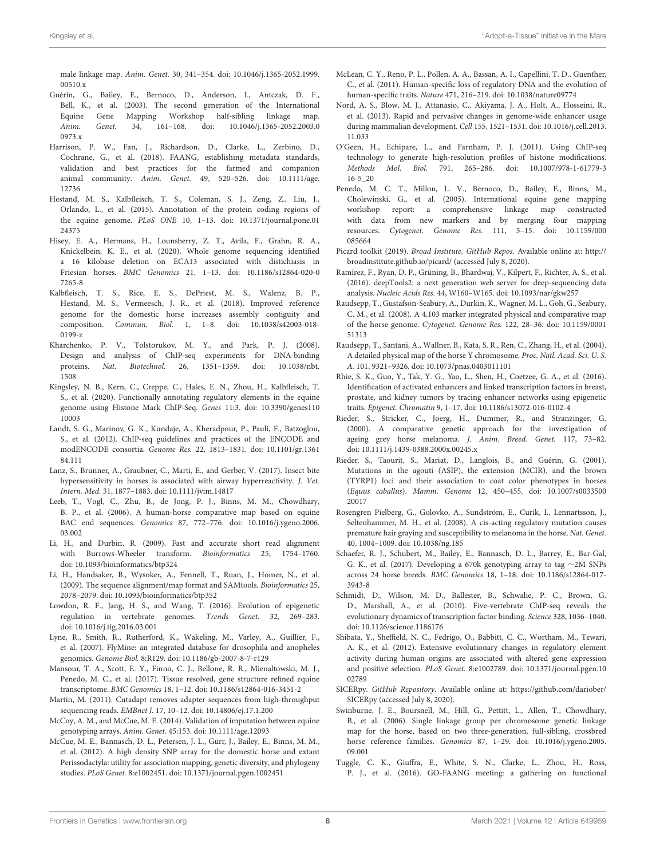male linkage map. Anim. Genet. [30, 341–354. doi: 10.1046/j.1365-2052.1999.](https://doi.org/10.1046/j.1365-2052.1999.00510.x) 00510 x

- <span id="page-7-0"></span>Guérin, G., Bailey, E., Bernoco, D., Anderson, I., Antczak, D. F., Bell, K., et al. (2003). The second generation of the International Equine Gene Mapping Workshop half-sibling linkage map.<br>
Anim. Genet. 34, 161-168. doi: 10.1046/j.1365-2052.2003.0 Anim. Genet. [34, 161–168. doi: 10.1046/j.1365-2052.2003.0](https://doi.org/10.1046/j.1365-2052.2003.00973.x) 0973.x
- <span id="page-7-35"></span>Harrison, P. W., Fan, J., Richardson, D., Clarke, L., Zerbino, D., Cochrane, G., et al. (2018). FAANG, establishing metadata standards, validation and best practices for the farmed and companion animal community. Anim. Genet. [49, 520–526. doi: 10.1111/age.](https://doi.org/10.1111/age.12736) 12736
- <span id="page-7-27"></span>Hestand, M. S., Kalbfleisch, T. S., Coleman, S. J., Zeng, Z., Liu, J., Orlando, L., et al. (2015). Annotation of the protein coding regions of the equine genome. PLoS ONE [10, 1–13. doi: 10.1371/journal.pone.01](https://doi.org/10.1371/journal.pone.0124375) 24375
- <span id="page-7-33"></span>Hisey, E. A., Hermans, H., Lounsberry, Z. T., Avila, F., Grahn, R. A., Knickelbein, K. E., et al. (2020). Whole genome sequencing identified a 16 kilobase deletion on ECA13 associated with distichiasis in Friesian horses. BMC Genomics [21, 1–13. doi: 10.1186/s12864-020-0](https://doi.org/10.1186/s12864-020-07265-8) 7265-8
- <span id="page-7-6"></span>Kalbfleisch, T. S., Rice, E. S., DePriest, M. S., Walenz, B. P., Hestand, M. S., Vermeesch, J. R., et al. (2018). Improved reference genome for the domestic horse increases assembly contiguity and composition. Commun. Biol. [1, 1–8. doi: 10.1038/s42003-018-](https://doi.org/10.1038/s42003-018-0199-z) 0199-z
- <span id="page-7-18"></span>Kharchenko, P. V., Tolstorukov, M. Y., and Park, P. J. (2008). Design and analysis of ChIP-seq experiments for DNA-binding proteins. Nat. Biotechnol. [26, 1351–1359. doi: 10.1038/nbt.](https://doi.org/10.1038/nbt.1508) 1508
- <span id="page-7-11"></span>Kingsley, N. B., Kern, C., Creppe, C., Hales, E. N., Zhou, H., Kalbfleisch, T. S., et al. (2020). Functionally annotating regulatory elements in the equine [genome using Histone Mark ChIP-Seq.](https://doi.org/10.3390/genes11010003) Genes 11:3. doi: 10.3390/genes110 10003
- <span id="page-7-19"></span>Landt, S. G., Marinov, G. K., Kundaje, A., Kheradpour, P., Pauli, F., Batzoglou, S., et al. (2012). ChIP-seq guidelines and practices of the ENCODE and modENCODE consortia. Genome Res. [22, 1813–1831. doi: 10.1101/gr.1361](https://doi.org/10.1101/gr.136184.111) 84.111
- <span id="page-7-25"></span>Lanz, S., Brunner, A., Graubner, C., Marti, E., and Gerber, V. (2017). Insect bite hypersensitivity in horses is associated with airway hyperreactivity. J. Vet. Intern. Med. 31, 1877–1883. doi: [10.1111/jvim.14817](https://doi.org/10.1111/jvim.14817)
- <span id="page-7-5"></span>Leeb, T., Vogl, C., Zhu, B., de Jong, P. J., Binns, M. M., Chowdhary, B. P., et al. (2006). A human-horse comparative map based on equine BAC end sequences. Genomics [87, 772–776. doi: 10.1016/j.ygeno.2006.](https://doi.org/10.1016/j.ygeno.2006.03.002) 03.002
- <span id="page-7-13"></span>Li, H., and Durbin, R. (2009). Fast and accurate short read alignment with Burrows-Wheeler transform. Bioinformatics 25, 1754–1760. doi: [10.1093/bioinformatics/btp324](https://doi.org/10.1093/bioinformatics/btp324)
- <span id="page-7-14"></span>Li, H., Handsaker, B., Wysoker, A., Fennell, T., Ruan, J., Homer, N., et al. (2009). The sequence alignment/map format and SAMtools. Bioinformatics 25, 2078–2079. doi: [10.1093/bioinformatics/btp352](https://doi.org/10.1093/bioinformatics/btp352)
- <span id="page-7-32"></span>Lowdon, R. F., Jang, H. S., and Wang, T. (2016). Evolution of epigenetic regulation in vertebrate genomes. Trends Genet. 32, 269–283. doi: [10.1016/j.tig.2016.03.001](https://doi.org/10.1016/j.tig.2016.03.001)
- <span id="page-7-34"></span>Lyne, R., Smith, R., Rutherford, K., Wakeling, M., Varley, A., Guillier, F., et al. (2007). FlyMine: an integrated database for drosophila and anopheles genomics. Genome Biol. 8:R129. doi: [10.1186/gb-2007-8-7-r129](https://doi.org/10.1186/gb-2007-8-7-r129)
- <span id="page-7-28"></span>Mansour, T. A., Scott, E. Y., Finno, C. J., Bellone, R. R., Mienaltowski, M. J., Penedo, M. C., et al. (2017). Tissue resolved, gene structure refined equine transcriptome. BMC Genomics 18, 1–12. doi: [10.1186/s12864-016-3451-2](https://doi.org/10.1186/s12864-016-3451-2)
- <span id="page-7-12"></span>Martin, M. (2011). Cutadapt removes adapter sequences from high-throughput sequencing reads. EMBnet J. 17, 10–12. doi: [10.14806/ej.17.1.200](https://doi.org/10.14806/ej.17.1.200)
- <span id="page-7-8"></span>McCoy, A. M., and McCue, M. E. (2014). Validation of imputation between equine genotyping arrays. Anim. Genet. 45:153. doi: [10.1111/age.12093](https://doi.org/10.1111/age.12093)
- <span id="page-7-7"></span>McCue, M. E., Bannasch, D. L., Petersen, J. L., Gurr, J., Bailey, E., Binns, M. M., et al. (2012). A high density SNP array for the domestic horse and extant Perissodactyla: utility for association mapping, genetic diversity, and phylogeny studies. PLoS Genet. 8:e1002451. doi: [10.1371/journal.pgen.1002451](https://doi.org/10.1371/journal.pgen.1002451)
- <span id="page-7-30"></span>McLean, C. Y., Reno, P. L., Pollen, A. A., Bassan, A. I., Capellini, T. D., Guenther, C., et al. (2011). Human-specific loss of regulatory DNA and the evolution of human-specific traits. Nature 471, 216–219. doi: [10.1038/nature09774](https://doi.org/10.1038/nature09774)
- <span id="page-7-20"></span>Nord, A. S., Blow, M. J., Attanasio, C., Akiyama, J. A., Holt, A., Hosseini, R., et al. (2013). Rapid and pervasive changes in genome-wide enhancer usage during mammalian development. Cell [155, 1521–1531. doi: 10.1016/j.cell.2013.](https://doi.org/10.1016/j.cell.2013.11.033) 11.033
- <span id="page-7-26"></span>O'Geen, H., Echipare, L., and Farnham, P. J. (2011). Using ChIP-seq technology to generate high-resolution profiles of histone modifications. Methods Mol. Biol. [791, 265–286. doi: 10.1007/978-1-61779-3](https://doi.org/10.1007/978-1-61779-316-5_20) 16-5\_20
- <span id="page-7-1"></span>Penedo, M. C. T., Millon, L. V., Bernoco, D., Bailey, E., Binns, M., Cholewinski, G., et al. (2005). International equine gene mapping workshop report: a comprehensive linkage map constructed with data from new markers and by merging four mapping resources. Cytogenet. Genome Res. [111, 5–15. doi: 10.1159/000](https://doi.org/10.1159/000085664) 085664
- <span id="page-7-15"></span>Picard toolkit (2019). Broad Institute, GitHub Repos. Available online at: [http://](http://broadinstitute.github.io/picard/) [broadinstitute.github.io/picard/](http://broadinstitute.github.io/picard/) (accessed July 8, 2020).
- <span id="page-7-17"></span>Ramírez, F., Ryan, D. P., Grüning, B., Bhardwaj, V., Kilpert, F., Richter, A. S., et al. (2016). deepTools2: a next generation web server for deep-sequencing data analysis. Nucleic Acids Res. 44, W160–W165. doi: [10.1093/nar/gkw257](https://doi.org/10.1093/nar/gkw257)
- <span id="page-7-4"></span>Raudsepp, T., Gustafson-Seabury, A., Durkin, K., Wagner, M. L., Goh, G., Seabury, C. M., et al. (2008). A 4,103 marker integrated physical and comparative map of the horse genome. Cytogenet. Genome Res. [122, 28–36. doi: 10.1159/0001](https://doi.org/10.1159/000151313) 51313
- <span id="page-7-3"></span>Raudsepp, T., Santani, A., Wallner, B., Kata, S. R., Ren, C., Zhang, H., et al. (2004). A detailed physical map of the horse Y chromosome. Proc. Natl. Acad. Sci. U. S. A. 101, 9321–9326. doi: [10.1073/pnas.0403011101](https://doi.org/10.1073/pnas.0403011101)
- <span id="page-7-21"></span>Rhie, S. K., Guo, Y., Tak, Y. G., Yao, L., Shen, H., Coetzee, G. A., et al. (2016). Identification of activated enhancers and linked transcription factors in breast, prostate, and kidney tumors by tracing enhancer networks using epigenetic traits. Epigenet. Chromatin 9, 1–17. doi: [10.1186/s13072-016-0102-4](https://doi.org/10.1186/s13072-016-0102-4)
- <span id="page-7-22"></span>Rieder, S., Stricker, C., Joerg, H., Dummer, R., and Stranzinger, G. (2000). A comparative genetic approach for the investigation of ageing grey horse melanoma. J. Anim. Breed. Genet. 117, 73–82. doi: [10.1111/j.1439-0388.2000x.00245.x](https://doi.org/10.1111/j.1439-0388.2000x.00245.x)
- <span id="page-7-23"></span>Rieder, S., Taourit, S., Mariat, D., Langlois, B., and Guérin, G. (2001). Mutations in the agouti (ASIP), the extension (MCIR), and the brown (TYRP1) loci and their association to coat color phenotypes in horses (Equus caballus). Mamm. Genome [12, 450–455. doi: 10.1007/s0033500](https://doi.org/10.1007/s003350020017) 20017
- <span id="page-7-24"></span>Rosengren Pielberg, G., Golovko, A., Sundström, E., Curik, I., Lennartsson, J., Seltenhammer, M. H., et al. (2008). A cis-acting regulatory mutation causes premature hair graying and susceptibility to melanoma in the horse. Nat. Genet. 40, 1004–1009. doi: [10.1038/ng.185](https://doi.org/10.1038/ng.185)
- <span id="page-7-9"></span>Schaefer, R. J., Schubert, M., Bailey, E., Bannasch, D. L., Barrey, E., Bar-Gal, G. K., et al. (2017). Developing a 670k genotyping array to tag ∼2M SNPs across 24 horse breeds. BMC Genomics [18, 1–18. doi: 10.1186/s12864-017-](https://doi.org/10.1186/s12864-017-3943-8) 3943-8
- <span id="page-7-29"></span>Schmidt, D., Wilson, M. D., Ballester, B., Schwalie, P. C., Brown, G. D., Marshall, A., et al. (2010). Five-vertebrate ChIP-seq reveals the evolutionary dynamics of transcription factor binding. Science 328, 1036–1040. doi: [10.1126/science.1186176](https://doi.org/10.1126/science.1186176)
- <span id="page-7-31"></span>Shibata, Y., Sheffield, N. C., Fedrigo, O., Babbitt, C. C., Wortham, M., Tewari, A. K., et al. (2012). Extensive evolutionary changes in regulatory element activity during human origins are associated with altered gene expression and positive selection. PLoS Genet. [8:e1002789. doi: 10.1371/journal.pgen.10](https://doi.org/10.1371/journal.pgen.1002789) 02789
- <span id="page-7-16"></span>SICERpy. GitHub Repository. Available online at: [https://github.com/dariober/](https://github.com/dariober/SICERpy) [SICERpy](https://github.com/dariober/SICERpy) (accessed July 8, 2020).
- <span id="page-7-2"></span>Swinburne, J. E., Boursnell, M., Hill, G., Pettitt, L., Allen, T., Chowdhary, B., et al. (2006). Single linkage group per chromosome genetic linkage map for the horse, based on two three-generation, full-sibling, crossbred horse reference families. Genomics [87, 1–29. doi: 10.1016/j.ygeno.2005.](https://doi.org/10.1016/j.ygeno.2005.09.001) 09.001
- <span id="page-7-10"></span>Tuggle, C. K., Giuffra, E., White, S. N., Clarke, L., Zhou, H., Ross, P. J., et al. (2016). GO-FAANG meeting: a gathering on functional